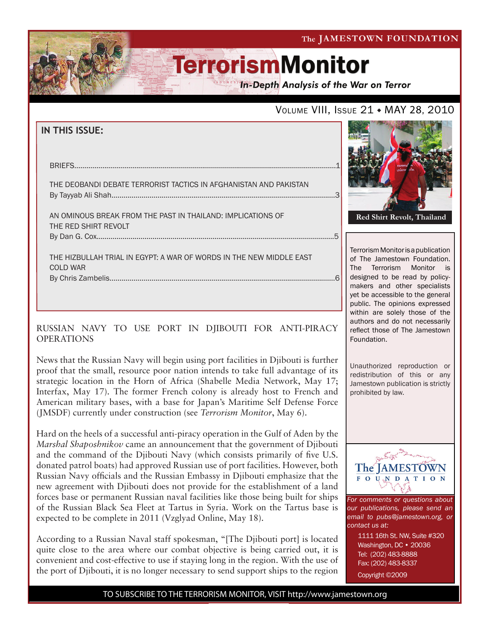The JAMESTOWN FOUNDATION

# **TerrorismMonitor**

**In-Depth Analysis of the War on Terror** 

# VOLUME VIII, ISSUE 21 • MAY 28, 2010

| <b>IN THIS ISSUE:</b>                                                                                       |  |
|-------------------------------------------------------------------------------------------------------------|--|
| <b>BRIEFS</b>                                                                                               |  |
| THE DEOBANDI DEBATE TERRORIST TACTICS IN AFGHANISTAN AND PAKISTAN                                           |  |
| AN OMINOUS BREAK FROM THE PAST IN THAILAND: IMPLICATIONS OF<br>THE RED SHIRT REVOLT                         |  |
| THE HIZBULLAH TRIAL IN EGYPT: A WAR OF WORDS IN THE NEW MIDDLE EAST<br><b>COLD WAR</b><br>By Chris Zambelis |  |

## RUSSIAN NAVY TO USE PORT IN DJIBOUTI FOR ANTI-PIRACY OPERATIONS

News that the Russian Navy will begin using port facilities in Djibouti is further proof that the small, resource poor nation intends to take full advantage of its strategic location in the Horn of Africa (Shabelle Media Network, May 17; Interfax, May 17). The former French colony is already host to French and American military bases, with a base for Japan's Maritime Self Defense Force (JMSDF) currently under construction (see *Terrorism Monitor*, May 6).

Hard on the heels of a successful anti-piracy operation in the Gulf of Aden by the *Marshal Shaposhnikov* came an announcement that the government of Djibouti and the command of the Djibouti Navy (which consists primarily of five U.S. donated patrol boats) had approved Russian use of port facilities. However, both Russian Navy officials and the Russian Embassy in Djibouti emphasize that the new agreement with Djibouti does not provide for the establishment of a land forces base or permanent Russian naval facilities like those being built for ships of the Russian Black Sea Fleet at Tartus in Syria. Work on the Tartus base is expected to be complete in 2011 (Vzglyad Online, May 18).

According to a Russian Naval staff spokesman, "[The Djibouti port] is located quite close to the area where our combat objective is being carried out, it is convenient and cost-effective to use if staying long in the region. With the use of the port of Djibouti, it is no longer necessary to send support ships to the region



Terrorism Monitor is a publication of The Jamestown Foundation. The Terrorism Monitor is designed to be read by policymakers and other specialists yet be accessible to the general public. The opinions expressed within are solely those of the authors and do not necessarily reflect those of The Jamestown Foundation.

Unauthorized reproduction or redistribution of this or any Jamestown publication is strictly prohibited by law.



*For comments or questions about our publications, please send an email to pubs@jamestown.org, or contact us at:* 

> 1111 16th St. NW, Suite #320 Washington, DC • 20036 Tel: (202) 483-8888 Fax: (202) 483-8337 Copyright ©2009

TO SUBSCRIBE TO THE TERRORISM MONITOR, VISIT http://www.jamestown.org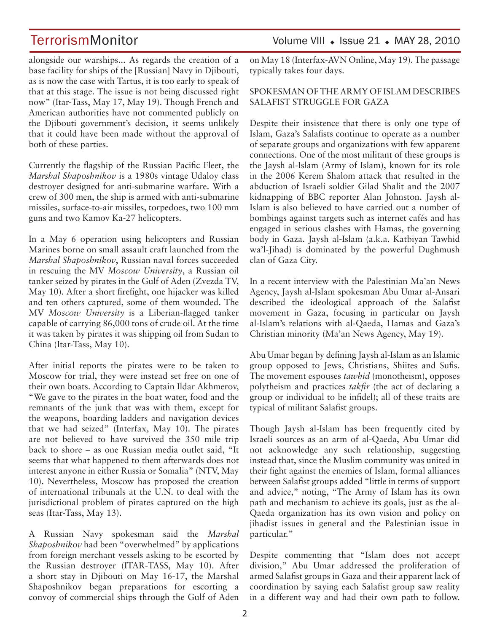alongside our warships... As regards the creation of a base facility for ships of the [Russian] Navy in Djibouti, as is now the case with Tartus, it is too early to speak of that at this stage. The issue is not being discussed right now" (Itar-Tass, May 17, May 19). Though French and American authorities have not commented publicly on the Djibouti government's decision, it seems unlikely that it could have been made without the approval of both of these parties.

Currently the flagship of the Russian Pacific Fleet, the *Marshal Shaposhnikov* is a 1980s vintage Udaloy class destroyer designed for anti-submarine warfare. With a crew of 300 men, the ship is armed with anti-submarine missiles, surface-to-air missiles, torpedoes, two 100 mm guns and two Kamov Ka-27 helicopters.

In a May 6 operation using helicopters and Russian Marines borne on small assault craft launched from the *Marshal Shaposhnikov*, Russian naval forces succeeded in rescuing the MV *Moscow University*, a Russian oil tanker seized by pirates in the Gulf of Aden (Zvezda TV, May 10). After a short firefight, one hijacker was killed and ten others captured, some of them wounded. The MV *Moscow University* is a Liberian-flagged tanker capable of carrying 86,000 tons of crude oil. At the time it was taken by pirates it was shipping oil from Sudan to China (Itar-Tass, May 10).

After initial reports the pirates were to be taken to Moscow for trial, they were instead set free on one of their own boats. According to Captain Ildar Akhmerov, "We gave to the pirates in the boat water, food and the remnants of the junk that was with them, except for the weapons, boarding ladders and navigation devices that we had seized" (Interfax, May 10). The pirates are not believed to have survived the 350 mile trip back to shore – as one Russian media outlet said, "It seems that what happened to them afterwards does not interest anyone in either Russia or Somalia" (NTV, May 10). Nevertheless, Moscow has proposed the creation of international tribunals at the U.N. to deal with the jurisdictional problem of pirates captured on the high seas (Itar-Tass, May 13).

A Russian Navy spokesman said the *Marshal Shaposhnikov* had been "overwhelmed" by applications from foreign merchant vessels asking to be escorted by the Russian destroyer (ITAR-TASS, May 10). After a short stay in Djibouti on May 16-17, the Marshal Shaposhnikov began preparations for escorting a convoy of commercial ships through the Gulf of Aden

# TerrorismMonitor Volume VIII • Issue 21 • MAY 28, 2010

on May 18 (Interfax-AVN Online, May 19). The passage typically takes four days.

### SPOKESMAN OF THE ARMY OF ISLAM DESCRIBES SALAFIST STRUGGLE FOR GAZA

Despite their insistence that there is only one type of Islam, Gaza's Salafists continue to operate as a number of separate groups and organizations with few apparent connections. One of the most militant of these groups is the Jaysh al-Islam (Army of Islam), known for its role in the 2006 Kerem Shalom attack that resulted in the abduction of Israeli soldier Gilad Shalit and the 2007 kidnapping of BBC reporter Alan Johnston. Jaysh al-Islam is also believed to have carried out a number of bombings against targets such as internet cafés and has engaged in serious clashes with Hamas, the governing body in Gaza. Jaysh al-Islam (a.k.a. Katbiyan Tawhid wa'l-Jihad) is dominated by the powerful Dughmush clan of Gaza City.

In a recent interview with the Palestinian Ma'an News Agency, Jaysh al-Islam spokesman Abu Umar al-Ansari described the ideological approach of the Salafist movement in Gaza, focusing in particular on Jaysh al-Islam's relations with al-Qaeda, Hamas and Gaza's Christian minority (Ma'an News Agency, May 19).

Abu Umar began by defining Jaysh al-Islam as an Islamic group opposed to Jews, Christians, Shiites and Sufis. The movement espouses *tawhid* (monotheism), opposes polytheism and practices *takfir* (the act of declaring a group or individual to be infidel); all of these traits are typical of militant Salafist groups.

Though Jaysh al-Islam has been frequently cited by Israeli sources as an arm of al-Qaeda, Abu Umar did not acknowledge any such relationship, suggesting instead that, since the Muslim community was united in their fight against the enemies of Islam, formal alliances between Salafist groups added "little in terms of support and advice," noting, "The Army of Islam has its own path and mechanism to achieve its goals, just as the al-Qaeda organization has its own vision and policy on jihadist issues in general and the Palestinian issue in particular."

Despite commenting that "Islam does not accept division," Abu Umar addressed the proliferation of armed Salafist groups in Gaza and their apparent lack of coordination by saying each Salafist group saw reality in a different way and had their own path to follow.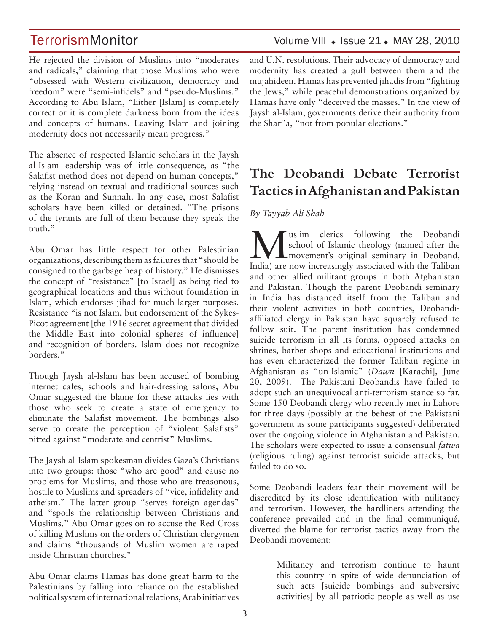He rejected the division of Muslims into "moderates and radicals," claiming that those Muslims who were "obsessed with Western civilization, democracy and freedom" were "semi-infidels" and "pseudo-Muslims." According to Abu Islam, "Either [Islam] is completely correct or it is complete darkness born from the ideas and concepts of humans. Leaving Islam and joining modernity does not necessarily mean progress."

The absence of respected Islamic scholars in the Jaysh al-Islam leadership was of little consequence, as "the Salafist method does not depend on human concepts," relying instead on textual and traditional sources such as the Koran and Sunnah. In any case, most Salafist scholars have been killed or detained. "The prisons of the tyrants are full of them because they speak the truth."

Abu Omar has little respect for other Palestinian organizations, describing them as failures that "should be consigned to the garbage heap of history." He dismisses the concept of "resistance" [to Israel] as being tied to geographical locations and thus without foundation in Islam, which endorses jihad for much larger purposes. Resistance "is not Islam, but endorsement of the Sykes-Picot agreement [the 1916 secret agreement that divided the Middle East into colonial spheres of influence] and recognition of borders. Islam does not recognize borders."

Though Jaysh al-Islam has been accused of bombing internet cafes, schools and hair-dressing salons, Abu Omar suggested the blame for these attacks lies with those who seek to create a state of emergency to eliminate the Salafist movement. The bombings also serve to create the perception of "violent Salafists" pitted against "moderate and centrist" Muslims.

The Jaysh al-Islam spokesman divides Gaza's Christians into two groups: those "who are good" and cause no problems for Muslims, and those who are treasonous, hostile to Muslims and spreaders of "vice, infidelity and atheism." The latter group "serves foreign agendas" and "spoils the relationship between Christians and Muslims." Abu Omar goes on to accuse the Red Cross of killing Muslims on the orders of Christian clergymen and claims "thousands of Muslim women are raped inside Christian churches."

Abu Omar claims Hamas has done great harm to the Palestinians by falling into reliance on the established political system of international relations, Arab initiatives

TerrorismMonitor Volume VIII • Issue 21 • MAY 28, 2010

and U.N. resolutions. Their advocacy of democracy and modernity has created a gulf between them and the mujahideen. Hamas has prevented jihadis from "fighting the Jews," while peaceful demonstrations organized by Hamas have only "deceived the masses." In the view of Jaysh al-Islam, governments derive their authority from the Shari'a, "not from popular elections."

# **The Deobandi Debate Terrorist Tactics in Afghanistan and Pakistan**

### *By Tayyab Ali Shah*

We uslim clerics following the Deobandi<br>
school of Islamic theology (named after the<br>
movement's original seminary in Deoband,<br>
and is a new increasingly associated with the Talihan school of Islamic theology (named after the India) are now increasingly associated with the Taliban and other allied militant groups in both Afghanistan and Pakistan. Though the parent Deobandi seminary in India has distanced itself from the Taliban and their violent activities in both countries, Deobandiaffiliated clergy in Pakistan have squarely refused to follow suit. The parent institution has condemned suicide terrorism in all its forms, opposed attacks on shrines, barber shops and educational institutions and has even characterized the former Taliban regime in Afghanistan as "un-Islamic" (*Dawn* [Karachi], June 20, 2009). The Pakistani Deobandis have failed to adopt such an unequivocal anti-terrorism stance so far. Some 150 Deobandi clergy who recently met in Lahore for three days (possibly at the behest of the Pakistani government as some participants suggested) deliberated over the ongoing violence in Afghanistan and Pakistan. The scholars were expected to issue a consensual *fatwa* (religious ruling) against terrorist suicide attacks, but failed to do so.

Some Deobandi leaders fear their movement will be discredited by its close identification with militancy and terrorism. However, the hardliners attending the conference prevailed and in the final communiqué, diverted the blame for terrorist tactics away from the Deobandi movement:

> Militancy and terrorism continue to haunt this country in spite of wide denunciation of such acts [suicide bombings and subversive activities] by all patriotic people as well as use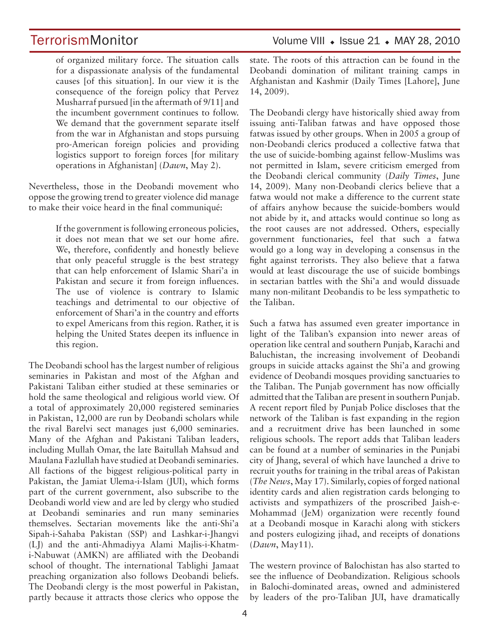of organized military force. The situation calls for a dispassionate analysis of the fundamental causes [of this situation]. In our view it is the consequence of the foreign policy that Pervez Musharraf pursued [in the aftermath of 9/11] and the incumbent government continues to follow. We demand that the government separate itself from the war in Afghanistan and stops pursuing pro-American foreign policies and providing logistics support to foreign forces [for military operations in Afghanistan] (*Dawn*, May 2).

Nevertheless, those in the Deobandi movement who oppose the growing trend to greater violence did manage to make their voice heard in the final communiqué:

> If the government is following erroneous policies, it does not mean that we set our home afire. We, therefore, confidently and honestly believe that only peaceful struggle is the best strategy that can help enforcement of Islamic Shari'a in Pakistan and secure it from foreign influences. The use of violence is contrary to Islamic teachings and detrimental to our objective of enforcement of Shari'a in the country and efforts to expel Americans from this region. Rather, it is helping the United States deepen its influence in this region.

The Deobandi school has the largest number of religious seminaries in Pakistan and most of the Afghan and Pakistani Taliban either studied at these seminaries or hold the same theological and religious world view. Of a total of approximately 20,000 registered seminaries in Pakistan, 12,000 are run by Deobandi scholars while the rival Barelvi sect manages just 6,000 seminaries. Many of the Afghan and Pakistani Taliban leaders, including Mullah Omar, the late Baitullah Mahsud and Maulana Fazlullah have studied at Deobandi seminaries. All factions of the biggest religious-political party in Pakistan, the Jamiat Ulema-i-Islam (JUI), which forms part of the current government, also subscribe to the Deobandi world view and are led by clergy who studied at Deobandi seminaries and run many seminaries themselves. Sectarian movements like the anti-Shi'a Sipah-i-Sahaba Pakistan (SSP) and Lashkar-i-Jhangvi (LJ) and the anti-Ahmadiyya Alami Majlis-i-Khatmi-Nabuwat (AMKN) are affiliated with the Deobandi school of thought. The international Tablighi Jamaat preaching organization also follows Deobandi beliefs. The Deobandi clergy is the most powerful in Pakistan, partly because it attracts those clerics who oppose the

# TerrorismMonitor Volume VIII • Issue 21 • MAY 28, 2010

state. The roots of this attraction can be found in the Deobandi domination of militant training camps in Afghanistan and Kashmir (Daily Times [Lahore], June 14, 2009).

The Deobandi clergy have historically shied away from issuing anti-Taliban fatwas and have opposed those fatwas issued by other groups. When in 2005 a group of non-Deobandi clerics produced a collective fatwa that the use of suicide-bombing against fellow-Muslims was not permitted in Islam, severe criticism emerged from the Deobandi clerical community (*Daily Times*, June 14, 2009). Many non-Deobandi clerics believe that a fatwa would not make a difference to the current state of affairs anyhow because the suicide-bombers would not abide by it, and attacks would continue so long as the root causes are not addressed. Others, especially government functionaries, feel that such a fatwa would go a long way in developing a consensus in the fight against terrorists. They also believe that a fatwa would at least discourage the use of suicide bombings in sectarian battles with the Shi'a and would dissuade many non-militant Deobandis to be less sympathetic to the Taliban.

Such a fatwa has assumed even greater importance in light of the Taliban's expansion into newer areas of operation like central and southern Punjab, Karachi and Baluchistan, the increasing involvement of Deobandi groups in suicide attacks against the Shi'a and growing evidence of Deobandi mosques providing sanctuaries to the Taliban. The Punjab government has now officially admitted that the Taliban are present in southern Punjab. A recent report filed by Punjab Police discloses that the network of the Taliban is fast expanding in the region and a recruitment drive has been launched in some religious schools. The report adds that Taliban leaders can be found at a number of seminaries in the Punjabi city of Jhang, several of which have launched a drive to recruit youths for training in the tribal areas of Pakistan (*The News*, May 17). Similarly, copies of forged national identity cards and alien registration cards belonging to activists and sympathizers of the proscribed Jaish-e-Mohammad (JeM) organization were recently found at a Deobandi mosque in Karachi along with stickers and posters eulogizing jihad, and receipts of donations (*Dawn*, May11).

The western province of Balochistan has also started to see the influence of Deobandization. Religious schools in Balochi-dominated areas, owned and administered by leaders of the pro-Taliban JUI, have dramatically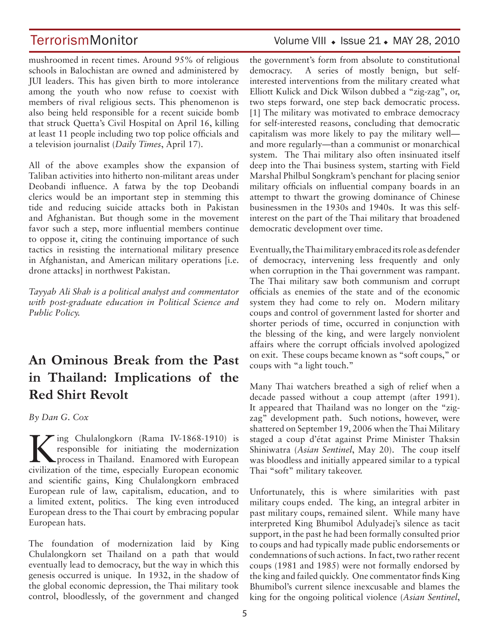# TerrorismMonitor Volume VIII • Issue 21 • MAY 28, 2010

mushroomed in recent times. Around 95% of religious schools in Balochistan are owned and administered by JUI leaders. This has given birth to more intolerance among the youth who now refuse to coexist with members of rival religious sects. This phenomenon is also being held responsible for a recent suicide bomb that struck Quetta's Civil Hospital on April 16, killing at least 11 people including two top police officials and a television journalist (*Daily Times*, April 17).

All of the above examples show the expansion of Taliban activities into hitherto non-militant areas under Deobandi influence. A fatwa by the top Deobandi clerics would be an important step in stemming this tide and reducing suicide attacks both in Pakistan and Afghanistan. But though some in the movement favor such a step, more influential members continue to oppose it, citing the continuing importance of such tactics in resisting the international military presence in Afghanistan, and American military operations [i.e. drone attacks] in northwest Pakistan.

*Tayyab Ali Shah is a political analyst and commentator with post-graduate education in Political Science and Public Policy.*

# **An Ominous Break from the Past in Thailand: Implications of the Red Shirt Revolt**

*By Dan G. Cox*

King Chulalongkorn (Rama IV-1868-1910) is<br>
process in Thailand. Enamored with European<br>
process in Thailand. Enamored with European<br>
process in Thailand. Enamored with European responsible for initiating the modernization civilization of the time, especially European economic and scientific gains, King Chulalongkorn embraced European rule of law, capitalism, education, and to a limited extent, politics. The king even introduced European dress to the Thai court by embracing popular European hats.

The foundation of modernization laid by King Chulalongkorn set Thailand on a path that would eventually lead to democracy, but the way in which this genesis occurred is unique. In 1932, in the shadow of the global economic depression, the Thai military took control, bloodlessly, of the government and changed

# the government's form from absolute to constitutional

democracy. A series of mostly benign, but selfinterested interventions from the military created what Elliott Kulick and Dick Wilson dubbed a "zig-zag", or, two steps forward, one step back democratic process. [1] The military was motivated to embrace democracy for self-interested reasons, concluding that democratic capitalism was more likely to pay the military well and more regularly—than a communist or monarchical system. The Thai military also often insinuated itself deep into the Thai business system, starting with Field Marshal Philbul Songkram's penchant for placing senior military officials on influential company boards in an attempt to thwart the growing dominance of Chinese businessmen in the 1930s and 1940s. It was this selfinterest on the part of the Thai military that broadened democratic development over time.

Eventually, the Thai military embraced its role as defender of democracy, intervening less frequently and only when corruption in the Thai government was rampant. The Thai military saw both communism and corrupt officials as enemies of the state and of the economic system they had come to rely on. Modern military coups and control of government lasted for shorter and shorter periods of time, occurred in conjunction with the blessing of the king, and were largely nonviolent affairs where the corrupt officials involved apologized on exit. These coups became known as "soft coups," or coups with "a light touch."

Many Thai watchers breathed a sigh of relief when a decade passed without a coup attempt (after 1991). It appeared that Thailand was no longer on the "zigzag" development path. Such notions, however, were shattered on September 19, 2006 when the Thai Military staged a coup d'état against Prime Minister Thaksin Shiniwatra (*Asian Sentinel*, May 20). The coup itself was bloodless and initially appeared similar to a typical Thai "soft" military takeover.

Unfortunately, this is where similarities with past military coups ended. The king, an integral arbiter in past military coups, remained silent. While many have interpreted King Bhumibol Adulyadej's silence as tacit support, in the past he had been formally consulted prior to coups and had typically made public endorsements or condemnations of such actions. In fact, two rather recent coups (1981 and 1985) were not formally endorsed by the king and failed quickly. One commentator finds King Bhumibol's current silence inexcusable and blames the king for the ongoing political violence (*Asian Sentinel*,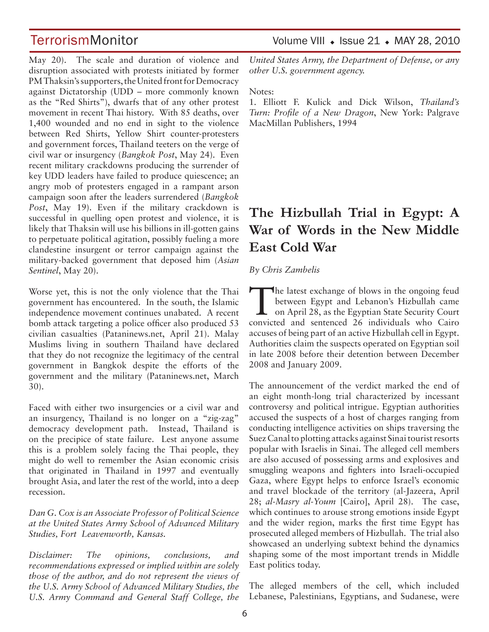TerrorismMonitor Volume VIII • Issue 21 • MAY 28, 2010

May 20). The scale and duration of violence and disruption associated with protests initiated by former PM Thaksin's supporters, the United front for Democracy against Dictatorship (UDD – more commonly known as the "Red Shirts"), dwarfs that of any other protest movement in recent Thai history. With 85 deaths, over 1,400 wounded and no end in sight to the violence between Red Shirts, Yellow Shirt counter-protesters and government forces, Thailand teeters on the verge of civil war or insurgency (*Bangkok Post*, May 24). Even recent military crackdowns producing the surrender of key UDD leaders have failed to produce quiescence; an angry mob of protesters engaged in a rampant arson campaign soon after the leaders surrendered (*Bangkok Post*, May 19). Even if the military crackdown is successful in quelling open protest and violence, it is likely that Thaksin will use his billions in ill-gotten gains to perpetuate political agitation, possibly fueling a more clandestine insurgent or terror campaign against the military-backed government that deposed him (*Asian Sentinel*, May 20).

Worse yet, this is not the only violence that the Thai government has encountered. In the south, the Islamic independence movement continues unabated. A recent bomb attack targeting a police officer also produced 53 civilian casualties (Pataninews.net, April 21). Malay Muslims living in southern Thailand have declared that they do not recognize the legitimacy of the central government in Bangkok despite the efforts of the government and the military (Pataninews.net, March 30).

Faced with either two insurgencies or a civil war and an insurgency, Thailand is no longer on a "zig-zag" democracy development path. Instead, Thailand is on the precipice of state failure. Lest anyone assume this is a problem solely facing the Thai people, they might do well to remember the Asian economic crisis that originated in Thailand in 1997 and eventually brought Asia, and later the rest of the world, into a deep recession.

*Dan G. Cox is an Associate Professor of Political Science at the United States Army School of Advanced Military Studies, Fort Leavenworth, Kansas.* 

*Disclaimer: The opinions, conclusions, and recommendations expressed or implied within are solely those of the author, and do not represent the views of the U.S. Army School of Advanced Military Studies, the U.S. Army Command and General Staff College, the* 

*United States Army, the Department of Defense, or any other U.S. government agency.* 

Notes:

1. Elliott F. Kulick and Dick Wilson, *Thailand's Turn: Profile of a New Dragon*, New York: Palgrave MacMillan Publishers, 1994

# **The Hizbullah Trial in Egypt: A War of Words in the New Middle East Cold War**

### *By Chris Zambelis*

The latest exchange of blows in the ongoing feud<br>between Egypt and Lebanon's Hizbullah came<br>on April 28, as the Egyptian State Security Court between Egypt and Lebanon's Hizbullah came convicted and sentenced 26 individuals who Cairo accuses of being part of an active Hizbullah cell in Egypt. Authorities claim the suspects operated on Egyptian soil in late 2008 before their detention between December 2008 and January 2009.

The announcement of the verdict marked the end of an eight month-long trial characterized by incessant controversy and political intrigue. Egyptian authorities accused the suspects of a host of charges ranging from conducting intelligence activities on ships traversing the Suez Canal to plotting attacks against Sinai tourist resorts popular with Israelis in Sinai. The alleged cell members are also accused of possessing arms and explosives and smuggling weapons and fighters into Israeli-occupied Gaza, where Egypt helps to enforce Israel's economic and travel blockade of the territory (al-Jazeera, April 28; *al-Masry al-Youm* [Cairo], April 28). The case, which continues to arouse strong emotions inside Egypt and the wider region, marks the first time Egypt has prosecuted alleged members of Hizbullah. The trial also showcased an underlying subtext behind the dynamics shaping some of the most important trends in Middle East politics today.

The alleged members of the cell, which included Lebanese, Palestinians, Egyptians, and Sudanese, were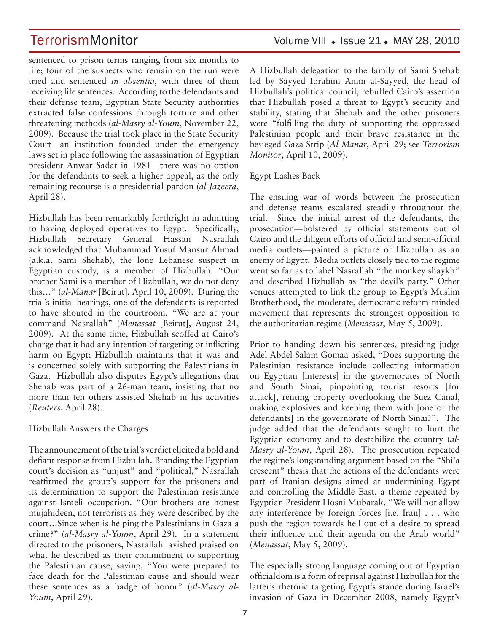TerrorismMonitor Volume VIII • Issue 21 • MAY 28, 2010

sentenced to prison terms ranging from six months to life; four of the suspects who remain on the run were tried and sentenced *in absentia*, with three of them receiving life sentences. According to the defendants and their defense team, Egyptian State Security authorities extracted false confessions through torture and other threatening methods (*al-Masry al-Youm*, November 22, 2009). Because the trial took place in the State Security Court—an institution founded under the emergency laws set in place following the assassination of Egyptian president Anwar Sadat in 1981—there was no option for the defendants to seek a higher appeal, as the only remaining recourse is a presidential pardon (*al-Jazeera*, April 28).

Hizbullah has been remarkably forthright in admitting to having deployed operatives to Egypt. Specifically, Hizbullah Secretary General Hassan Nasrallah acknowledged that Muhammad Yusuf Mansur Ahmad (a.k.a. Sami Shehab), the lone Lebanese suspect in Egyptian custody, is a member of Hizbullah. "Our brother Sami is a member of Hizbullah, we do not deny this…" (*al-Manar* [Beirut], April 10, 2009). During the trial's initial hearings, one of the defendants is reported to have shouted in the courtroom, "We are at your command Nasrallah" (*Menassat* [Beirut], August 24, 2009). At the same time, Hizbullah scoffed at Cairo's charge that it had any intention of targeting or inflicting harm on Egypt; Hizbullah maintains that it was and is concerned solely with supporting the Palestinians in Gaza. Hizbullah also disputes Egypt's allegations that Shehab was part of a 26-man team, insisting that no more than ten others assisted Shehab in his activities (*Reuters*, April 28).

## Hizbullah Answers the Charges

The announcement of the trial's verdict elicited a bold and defiant response from Hizbullah. Branding the Egyptian court's decision as "unjust" and "political," Nasrallah reaffirmed the group's support for the prisoners and its determination to support the Palestinian resistance against Israeli occupation. "Our brothers are honest mujahideen, not terrorists as they were described by the court…Since when is helping the Palestinians in Gaza a crime?" (*al-Masry al-Youm*, April 29). In a statement directed to the prisoners, Nasrallah lavished praised on what he described as their commitment to supporting the Palestinian cause, saying, "You were prepared to face death for the Palestinian cause and should wear these sentences as a badge of honor" (*al-Masry al-Youm*, April 29).

A Hizbullah delegation to the family of Sami Shehab led by Sayyed Ibrahim Amin al-Sayyed, the head of Hizbullah's political council, rebuffed Cairo's assertion that Hizbullah posed a threat to Egypt's security and stability, stating that Shehab and the other prisoners were "fulfilling the duty of supporting the oppressed Palestinian people and their brave resistance in the besieged Gaza Strip (*Al-Manar*, April 29; see *Terrorism Monitor*, April 10, 2009).

Egypt Lashes Back

The ensuing war of words between the prosecution and defense teams escalated steadily throughout the trial. Since the initial arrest of the defendants, the prosecution—bolstered by official statements out of Cairo and the diligent efforts of official and semi-official media outlets—painted a picture of Hizbullah as an enemy of Egypt. Media outlets closely tied to the regime went so far as to label Nasrallah "the monkey shaykh" and described Hizbullah as "the devil's party." Other venues attempted to link the group to Egypt's Muslim Brotherhood, the moderate, democratic reform-minded movement that represents the strongest opposition to the authoritarian regime (*Menassat*, May 5, 2009).

Prior to handing down his sentences, presiding judge Adel Abdel Salam Gomaa asked, "Does supporting the Palestinian resistance include collecting information on Egyptian [interests] in the governorates of North and South Sinai, pinpointing tourist resorts [for attack], renting property overlooking the Suez Canal, making explosives and keeping them with [one of the defendants] in the governorate of North Sinai?". The judge added that the defendants sought to hurt the Egyptian economy and to destabilize the country (*al-Masry al-Youm*, April 28). The prosecution repeated the regime's longstanding argument based on the "Shi'a crescent" thesis that the actions of the defendants were part of Iranian designs aimed at undermining Egypt and controlling the Middle East, a theme repeated by Egyptian President Hosni Mubarak. "We will not allow any interference by foreign forces [i.e. Iran] . . . who push the region towards hell out of a desire to spread their influence and their agenda on the Arab world" (*Menassat*, May 5, 2009).

The especially strong language coming out of Egyptian officialdom is a form of reprisal against Hizbullah for the latter's rhetoric targeting Egypt's stance during Israel's invasion of Gaza in December 2008, namely Egypt's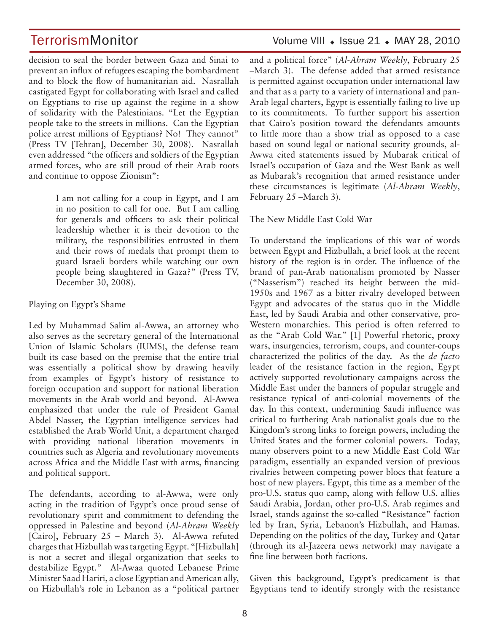decision to seal the border between Gaza and Sinai to prevent an influx of refugees escaping the bombardment and to block the flow of humanitarian aid. Nasrallah castigated Egypt for collaborating with Israel and called on Egyptians to rise up against the regime in a show of solidarity with the Palestinians. "Let the Egyptian people take to the streets in millions. Can the Egyptian police arrest millions of Egyptians? No! They cannot" (Press TV [Tehran], December 30, 2008). Nasrallah even addressed "the officers and soldiers of the Egyptian armed forces, who are still proud of their Arab roots and continue to oppose Zionism":

> I am not calling for a coup in Egypt, and I am in no position to call for one. But I am calling for generals and officers to ask their political leadership whether it is their devotion to the military, the responsibilities entrusted in them and their rows of medals that prompt them to guard Israeli borders while watching our own people being slaughtered in Gaza?" (Press TV, December 30, 2008).

Playing on Egypt's Shame

Led by Muhammad Salim al-Awwa, an attorney who also serves as the secretary general of the International Union of Islamic Scholars (IUMS), the defense team built its case based on the premise that the entire trial was essentially a political show by drawing heavily from examples of Egypt's history of resistance to foreign occupation and support for national liberation movements in the Arab world and beyond. Al-Awwa emphasized that under the rule of President Gamal Abdel Nasser, the Egyptian intelligence services had established the Arab World Unit, a department charged with providing national liberation movements in countries such as Algeria and revolutionary movements across Africa and the Middle East with arms, financing and political support.

The defendants, according to al-Awwa, were only acting in the tradition of Egypt's once proud sense of revolutionary spirit and commitment to defending the oppressed in Palestine and beyond (*Al-Ahram Weekly*  [Cairo], February 25 - March 3). Al-Awwa refuted charges that Hizbullah was targeting Egypt. "[Hizbullah] is not a secret and illegal organization that seeks to destabilize Egypt." Al-Awaa quoted Lebanese Prime Minister Saad Hariri, a close Egyptian and American ally, on Hizbullah's role in Lebanon as a "political partner

# TerrorismMonitor Volume VIII • Issue 21 • MAY 28, 2010

and a political force" (*Al-Ahram Weekly*, February 25 –March 3). The defense added that armed resistance is permitted against occupation under international law and that as a party to a variety of international and pan-Arab legal charters, Egypt is essentially failing to live up to its commitments. To further support his assertion that Cairo's position toward the defendants amounts to little more than a show trial as opposed to a case based on sound legal or national security grounds, al-Awwa cited statements issued by Mubarak critical of Israel's occupation of Gaza and the West Bank as well as Mubarak's recognition that armed resistance under these circumstances is legitimate (*Al-Ahram Weekly*, February 25 –March 3).

### The New Middle East Cold War

To understand the implications of this war of words between Egypt and Hizbullah, a brief look at the recent history of the region is in order. The influence of the brand of pan-Arab nationalism promoted by Nasser ("Nasserism") reached its height between the mid-1950s and 1967 as a bitter rivalry developed between Egypt and advocates of the status quo in the Middle East, led by Saudi Arabia and other conservative, pro-Western monarchies. This period is often referred to as the "Arab Cold War." [1] Powerful rhetoric, proxy wars, insurgencies, terrorism, coups, and counter-coups characterized the politics of the day. As the *de facto*  leader of the resistance faction in the region, Egypt actively supported revolutionary campaigns across the Middle East under the banners of popular struggle and resistance typical of anti-colonial movements of the day. In this context, undermining Saudi influence was critical to furthering Arab nationalist goals due to the Kingdom's strong links to foreign powers, including the United States and the former colonial powers. Today, many observers point to a new Middle East Cold War paradigm, essentially an expanded version of previous rivalries between competing power blocs that feature a host of new players. Egypt, this time as a member of the pro-U.S. status quo camp, along with fellow U.S. allies Saudi Arabia, Jordan, other pro-U.S. Arab regimes and Israel, stands against the so-called "Resistance" faction led by Iran, Syria, Lebanon's Hizbullah, and Hamas. Depending on the politics of the day, Turkey and Qatar (through its al-Jazeera news network) may navigate a fine line between both factions.

Given this background, Egypt's predicament is that Egyptians tend to identify strongly with the resistance